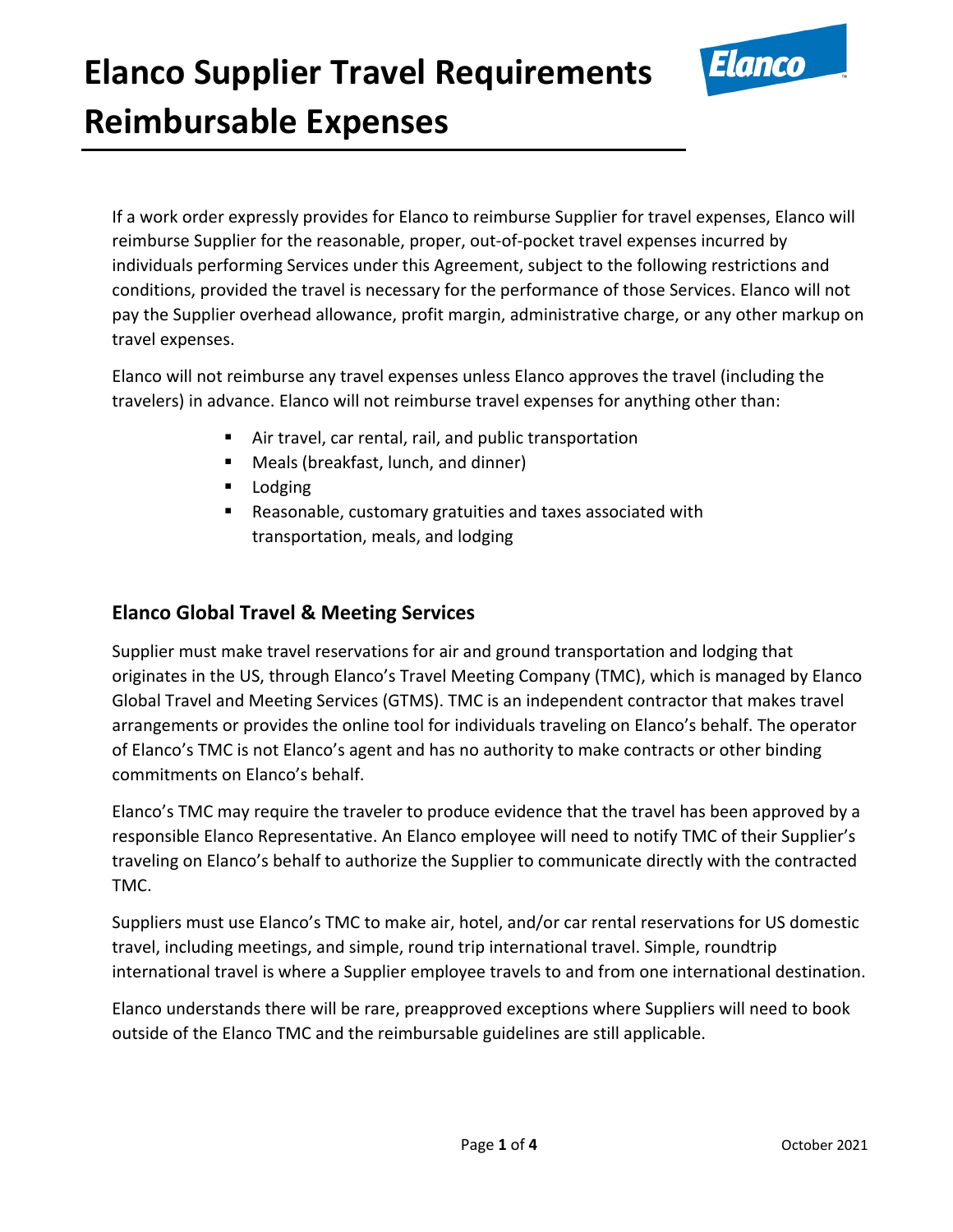

If a work order expressly provides for Elanco to reimburse Supplier for travel expenses, Elanco will reimburse Supplier for the reasonable, proper, out-of-pocket travel expenses incurred by individuals performing Services under this Agreement, subject to the following restrictions and conditions, provided the travel is necessary for the performance of those Services. Elanco will not pay the Supplier overhead allowance, profit margin, administrative charge, or any other markup on travel expenses.

Elanco will not reimburse any travel expenses unless Elanco approves the travel (including the travelers) in advance. Elanco will not reimburse travel expenses for anything other than:

- Air travel, car rental, rail, and public transportation
- Meals (breakfast, lunch, and dinner)
- **Lodging**
- Reasonable, customary gratuities and taxes associated with transportation, meals, and lodging

#### **Elanco Global Travel & Meeting Services**

Supplier must make travel reservations for air and ground transportation and lodging that originates in the US, through Elanco's Travel Meeting Company (TMC), which is managed by Elanco Global Travel and Meeting Services (GTMS). TMC is an independent contractor that makes travel arrangements or provides the online tool for individuals traveling on Elanco's behalf. The operator of Elanco's TMC is not Elanco's agent and has no authority to make contracts or other binding commitments on Elanco's behalf.

Elanco's TMC may require the traveler to produce evidence that the travel has been approved by a responsible Elanco Representative. An Elanco employee will need to notify TMC of their Supplier's traveling on Elanco's behalf to authorize the Supplier to communicate directly with the contracted TMC.

Suppliers must use Elanco's TMC to make air, hotel, and/or car rental reservations for US domestic travel, including meetings, and simple, round trip international travel. Simple, roundtrip international travel is where a Supplier employee travels to and from one international destination.

Elanco understands there will be rare, preapproved exceptions where Suppliers will need to book outside of the Elanco TMC and the reimbursable guidelines are still applicable.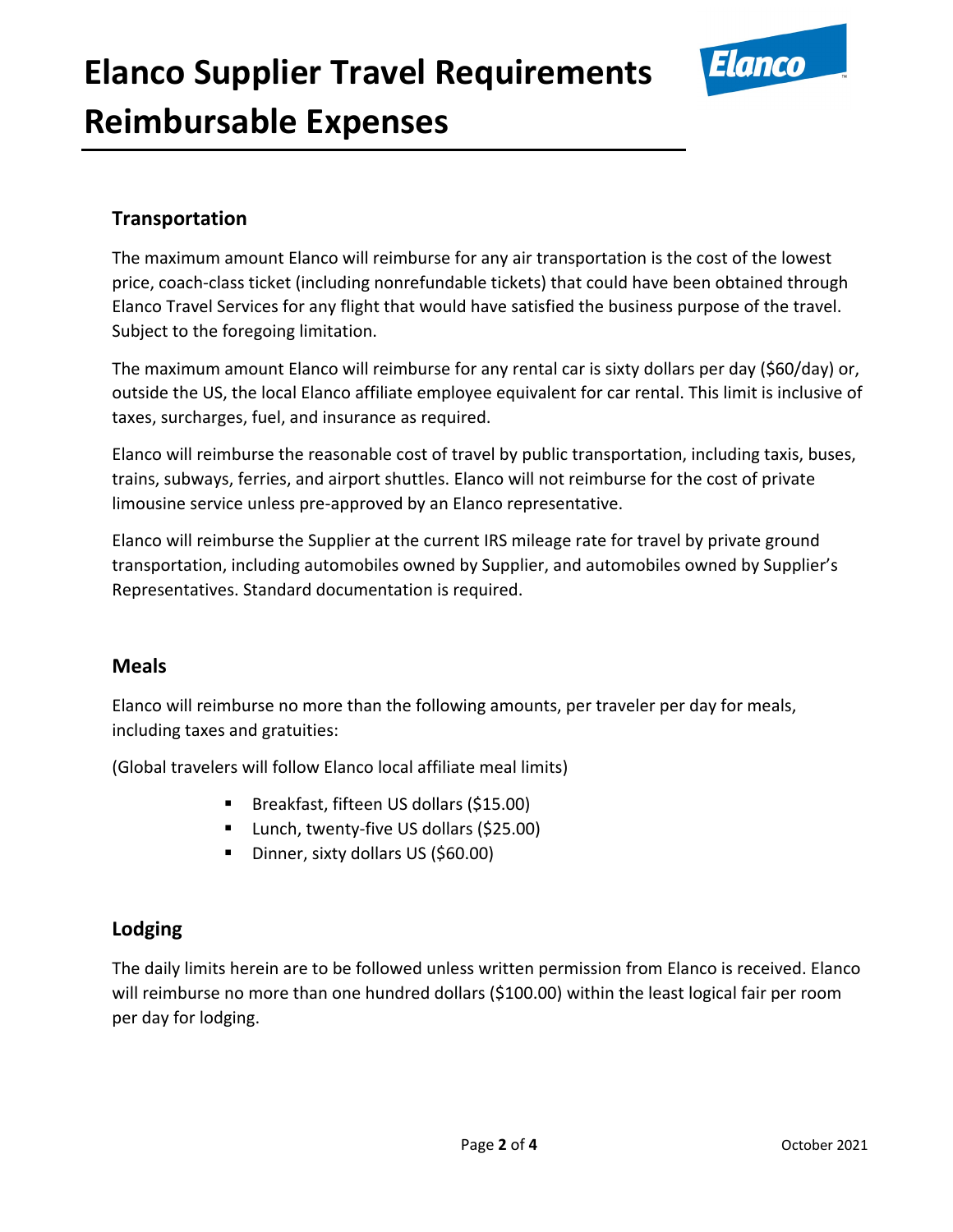

### **Transportation**

The maximum amount Elanco will reimburse for any air transportation is the cost of the lowest price, coach-class ticket (including nonrefundable tickets) that could have been obtained through Elanco Travel Services for any flight that would have satisfied the business purpose of the travel. Subject to the foregoing limitation.

The maximum amount Elanco will reimburse for any rental car is sixty dollars per day (\$60/day) or, outside the US, the local Elanco affiliate employee equivalent for car rental. This limit is inclusive of taxes, surcharges, fuel, and insurance as required.

Elanco will reimburse the reasonable cost of travel by public transportation, including taxis, buses, trains, subways, ferries, and airport shuttles. Elanco will not reimburse for the cost of private limousine service unless pre-approved by an Elanco representative.

Elanco will reimburse the Supplier at the current IRS mileage rate for travel by private ground transportation, including automobiles owned by Supplier, and automobiles owned by Supplier's Representatives. Standard documentation is required.

#### **Meals**

Elanco will reimburse no more than the following amounts, per traveler per day for meals, including taxes and gratuities:

(Global travelers will follow Elanco local affiliate meal limits)

- Breakfast, fifteen US dollars (\$15.00)
- Lunch, twenty-five US dollars (\$25.00)
- Dinner, sixty dollars US (\$60.00)

### **Lodging**

The daily limits herein are to be followed unless written permission from Elanco is received. Elanco will reimburse no more than one hundred dollars (\$100.00) within the least logical fair per room per day for lodging.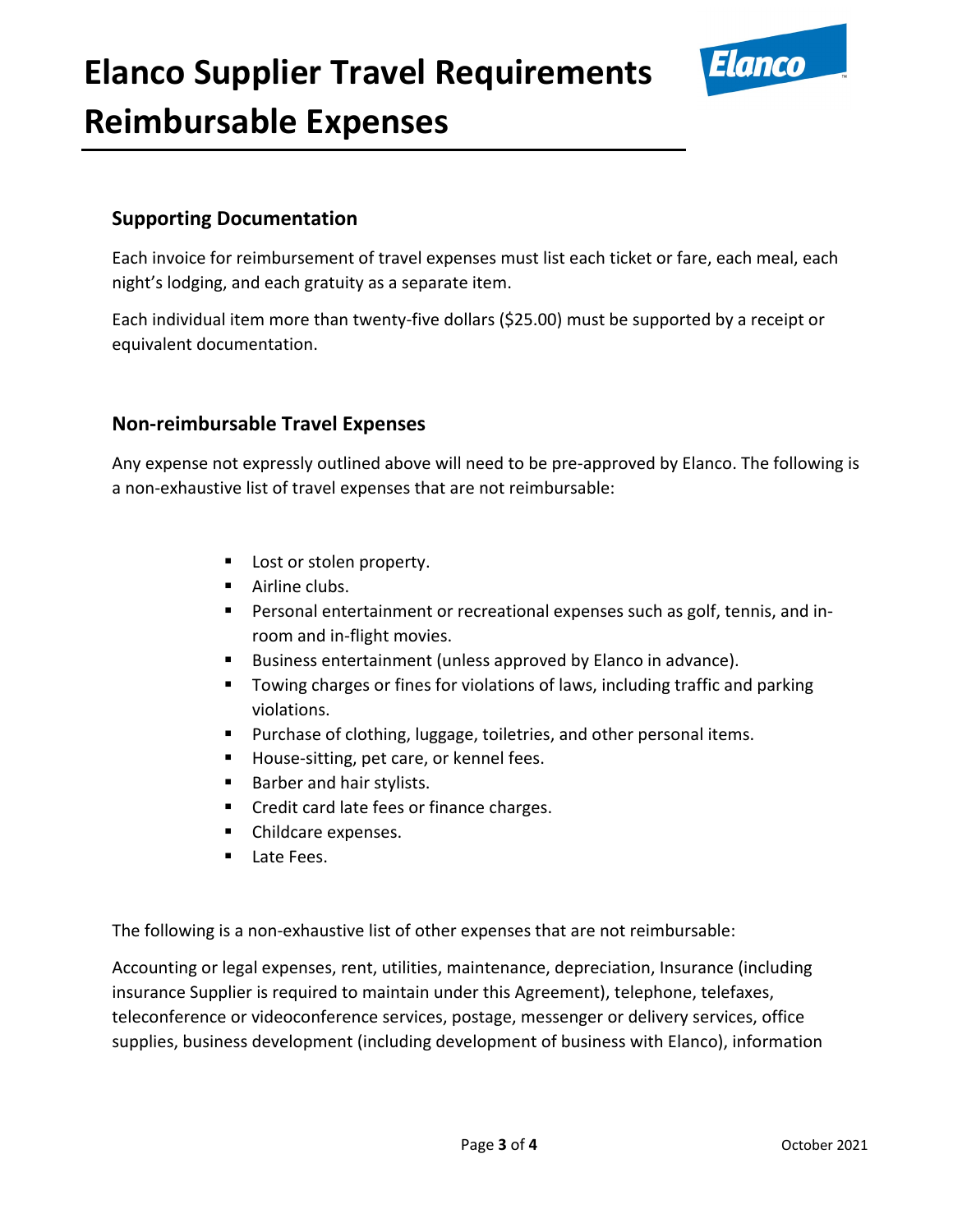

### **Supporting Documentation**

Each invoice for reimbursement of travel expenses must list each ticket or fare, each meal, each night's lodging, and each gratuity as a separate item.

Each individual item more than twenty-five dollars (\$25.00) must be supported by a receipt or equivalent documentation.

### **Non-reimbursable Travel Expenses**

Any expense not expressly outlined above will need to be pre-approved by Elanco. The following is a non-exhaustive list of travel expenses that are not reimbursable:

- **Lost or stolen property.**
- **Airline clubs.**
- Personal entertainment or recreational expenses such as golf, tennis, and inroom and in-flight movies.
- Business entertainment (unless approved by Elanco in advance).
- **T** Towing charges or fines for violations of laws, including traffic and parking violations.
- **Purchase of clothing, luggage, toiletries, and other personal items.**
- House-sitting, pet care, or kennel fees.
- **Barber and hair stylists.**
- Credit card late fees or finance charges.
- Childcare expenses.
- Late Fees.

The following is a non-exhaustive list of other expenses that are not reimbursable:

Accounting or legal expenses, rent, utilities, maintenance, depreciation, Insurance (including insurance Supplier is required to maintain under this Agreement), telephone, telefaxes, teleconference or videoconference services, postage, messenger or delivery services, office supplies, business development (including development of business with Elanco), information